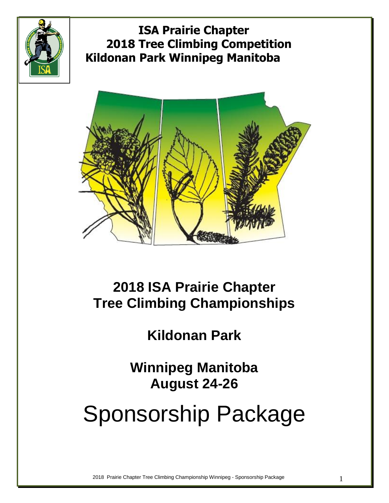



# **2018 ISA Prairie Chapter Tree Climbing Championships**

# **Kildonan Park**

**Winnipeg Manitoba August 24-26**

# Sponsorship Package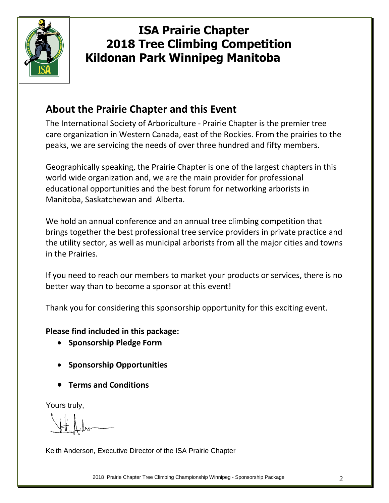

#### **About the Prairie Chapter and this Event**

The International Society of Arboriculture - Prairie Chapter is the premier tree care organization in Western Canada, east of the Rockies. From the prairies to the peaks, we are servicing the needs of over three hundred and fifty members.

Geographically speaking, the Prairie Chapter is one of the largest chapters in this world wide organization and, we are the main provider for professional educational opportunities and the best forum for networking arborists in Manitoba, Saskatchewan and Alberta.

We hold an annual conference and an annual tree climbing competition that brings together the best professional tree service providers in private practice and the utility sector, as well as municipal arborists from all the major cities and towns in the Prairies.

If you need to reach our members to market your products or services, there is no better way than to become a sponsor at this event!

Thank you for considering this sponsorship opportunity for this exciting event.

#### **Please find included in this package:**

- **•** Sponsorship Pledge Form
- **•** Sponsorship Opportunities
- **Terms and Conditions**

Yours truly,

Keith Anderson, Executive Director of the ISA Prairie Chapter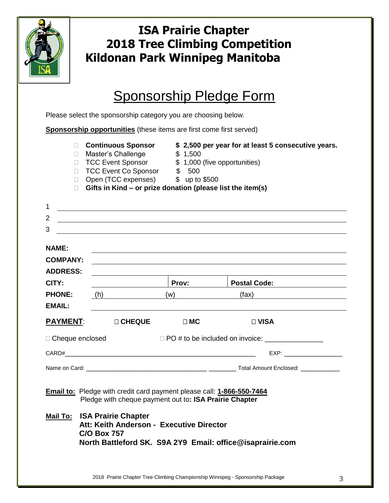

## Sponsorship Pledge Form

Please select the sponsorship category you are choosing below.

| <b>Sponsorship opportunities</b> (these items are first come first served)                                                      |  |                                                                                                                                                                                                   |  |              |                                                                                                                                                                                                                                |  |  |  |
|---------------------------------------------------------------------------------------------------------------------------------|--|---------------------------------------------------------------------------------------------------------------------------------------------------------------------------------------------------|--|--------------|--------------------------------------------------------------------------------------------------------------------------------------------------------------------------------------------------------------------------------|--|--|--|
| П.<br>П.<br>П.<br>П.                                                                                                            |  | <b>□ Continuous Sponsor</b><br>Master's Challenge<br>□ TCC Event Sponsor<br>TCC Event Co Sponsor \$500<br>Open (TCC expenses) \$500<br>Gifts in Kind - or prize donation (please list the item(s) |  | \$1,500      | \$2,500 per year for at least 5 consecutive years.                                                                                                                                                                             |  |  |  |
| 1                                                                                                                               |  |                                                                                                                                                                                                   |  |              |                                                                                                                                                                                                                                |  |  |  |
| $\overline{2}$<br>3                                                                                                             |  | <u> 1980 - Jan Sterling von de Barbara (</u>                                                                                                                                                      |  |              |                                                                                                                                                                                                                                |  |  |  |
| <b>NAME:</b><br><b>COMPANY:</b><br><b>ADDRESS:</b>                                                                              |  |                                                                                                                                                                                                   |  |              |                                                                                                                                                                                                                                |  |  |  |
| CITY:                                                                                                                           |  |                                                                                                                                                                                                   |  | <b>Prov:</b> | <b>Postal Code:</b>                                                                                                                                                                                                            |  |  |  |
| <b>PHONE:</b><br><b>EMAIL:</b>                                                                                                  |  | (h)                                                                                                                                                                                               |  | (w)          | (fax)                                                                                                                                                                                                                          |  |  |  |
|                                                                                                                                 |  | <b>PAYMENT: DICHEQUE</b>                                                                                                                                                                          |  | $\Box$ MC    | $\Box$ VISA                                                                                                                                                                                                                    |  |  |  |
| □ Cheque enclosed                                                                                                               |  |                                                                                                                                                                                                   |  |              |                                                                                                                                                                                                                                |  |  |  |
|                                                                                                                                 |  | CARDH                                                                                                                                                                                             |  |              | EXP: The contract of the contract of the contract of the contract of the contract of the contract of the contract of the contract of the contract of the contract of the contract of the contract of the contract of the contr |  |  |  |
|                                                                                                                                 |  |                                                                                                                                                                                                   |  |              |                                                                                                                                                                                                                                |  |  |  |
| Email to: Pledge with credit card payment please call: 1-866-550-7464<br>Pledge with cheque payment out to: ISA Prairie Chapter |  |                                                                                                                                                                                                   |  |              |                                                                                                                                                                                                                                |  |  |  |
|                                                                                                                                 |  | <b>Mail To: ISA Prairie Chapter</b><br>Att: Keith Anderson - Executive Director<br><b>C/O Box 757</b>                                                                                             |  |              | North Battleford SK. S9A 2Y9 Email: office@isaprairie.com                                                                                                                                                                      |  |  |  |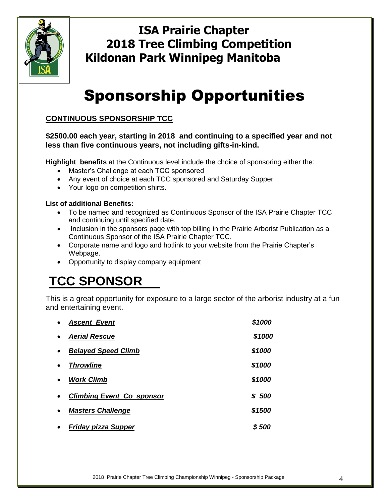

# Sponsorship Opportunities

#### **CONTINUOUS SPONSORSHIP TCC**

#### **\$2500.00 each year, starting in 2018 and continuing to a specified year and not less than five continuous years, not including gifts-in-kind.**

**Highlight benefits** at the Continuous level include the choice of sponsoring either the:

- Master's Challenge at each TCC sponsored
- Any event of choice at each TCC sponsored and Saturday Supper
- Your logo on competition shirts.

#### **List of additional Benefits:**

- To be named and recognized as Continuous Sponsor of the ISA Prairie Chapter TCC and continuing until specified date.
- Inclusion in the sponsors page with top billing in the Prairie Arborist Publication as a Continuous Sponsor of the ISA Prairie Chapter TCC.
- Corporate name and logo and hotlink to your website from the Prairie Chapter's Webpage.
- Opportunity to display company equipment

# **TCC SPONSOR**

This is a great opportunity for exposure to a large sector of the arborist industry at a fun and entertaining event.

| $\bullet$ | <b>Ascent Event</b>              | \$1000 |
|-----------|----------------------------------|--------|
| $\bullet$ | <b>Aerial Rescue</b>             | \$1000 |
| $\bullet$ | <b>Belayed Speed Climb</b>       | \$1000 |
| $\bullet$ | <b>Throwline</b>                 | \$1000 |
| $\bullet$ | <b>Work Climb</b>                | \$1000 |
| $\bullet$ | <b>Climbing Event Co sponsor</b> | \$ 500 |
| $\bullet$ | <b>Masters Challenge</b>         | \$1500 |
| $\bullet$ | <b>Friday pizza Supper</b>       | S 500  |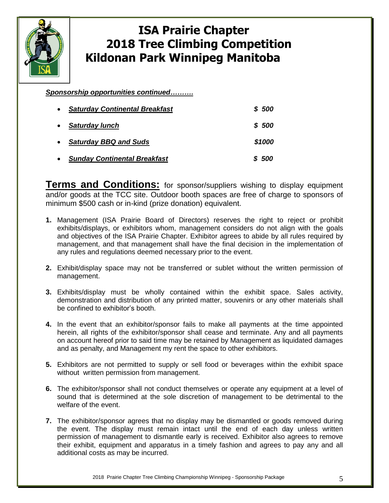

*Sponsorship opportunities continued……….*

| $\bullet$ | <b>Saturday Continental Breakfast</b> | \$500  |
|-----------|---------------------------------------|--------|
| $\bullet$ | <b>Saturday lunch</b>                 | \$500  |
| $\bullet$ | <b>Saturday BBQ and Suds</b>          | \$1000 |
| $\bullet$ | <b>Sunday Continental Breakfast</b>   | \$500  |

**Terms and Conditions:** for sponsor/suppliers wishing to display equipment and/or goods at the TCC site. Outdoor booth spaces are free of charge to sponsors of minimum \$500 cash or in-kind (prize donation) equivalent.

- **1.** Management (ISA Prairie Board of Directors) reserves the right to reject or prohibit exhibits/displays, or exhibitors whom, management considers do not align with the goals and objectives of the ISA Prairie Chapter. Exhibitor agrees to abide by all rules required by management, and that management shall have the final decision in the implementation of any rules and regulations deemed necessary prior to the event.
- **2.** Exhibit/display space may not be transferred or sublet without the written permission of management.
- **3.** Exhibits/display must be wholly contained within the exhibit space. Sales activity, demonstration and distribution of any printed matter, souvenirs or any other materials shall be confined to exhibitor's booth.
- **4.** In the event that an exhibitor/sponsor fails to make all payments at the time appointed herein, all rights of the exhibitor/sponsor shall cease and terminate. Any and all payments on account hereof prior to said time may be retained by Management as liquidated damages and as penalty, and Management my rent the space to other exhibitors.
- **5.** Exhibitors are not permitted to supply or sell food or beverages within the exhibit space without written permission from management.
- **6.** The exhibitor/sponsor shall not conduct themselves or operate any equipment at a level of sound that is determined at the sole discretion of management to be detrimental to the welfare of the event.
- **7.** The exhibitor/sponsor agrees that no display may be dismantled or goods removed during the event. The display must remain intact until the end of each day unless written permission of management to dismantle early is received. Exhibitor also agrees to remove their exhibit, equipment and apparatus in a timely fashion and agrees to pay any and all additional costs as may be incurred.